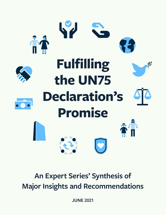

# **An Expert Series' Synthesis of Major Insights and Recommendations**

**JUNE 2021**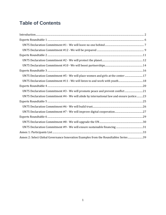# **Table of Contents**

| $\label{thm:1} Introduction 32$                                                          |  |  |
|------------------------------------------------------------------------------------------|--|--|
|                                                                                          |  |  |
|                                                                                          |  |  |
|                                                                                          |  |  |
|                                                                                          |  |  |
|                                                                                          |  |  |
|                                                                                          |  |  |
|                                                                                          |  |  |
| UN75 Declaration Commitment #5 - We will place women and girls at the center  17         |  |  |
|                                                                                          |  |  |
|                                                                                          |  |  |
| UN75 Declaration Commitment #3 - We will promote peace and prevent conflict21            |  |  |
| UN75 Declaration Commitment #4 - We will abide by international law and ensure justice23 |  |  |
|                                                                                          |  |  |
|                                                                                          |  |  |
|                                                                                          |  |  |
|                                                                                          |  |  |
|                                                                                          |  |  |
|                                                                                          |  |  |
|                                                                                          |  |  |
| Annex 2: Select Global Governance Innovation Examples from the Roundtables Series39      |  |  |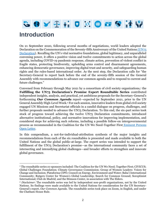SOVIA OROOMY 19

# <span id="page-2-0"></span>**Introduction**

On 21 September 2020, following several months of negotiations, world leaders adopted the Declaration on the Commemoration of the Seventy-fifth Anniversary of the United Nations [\(UN75](https://undocs.org/en/A/RES/75/1)  [Declaration](https://undocs.org/en/A/RES/75/1)). Recalling the UN's vital normative foundations, global legitimacy, and unparalleled convening power, it offers a positive vision and twelve commitments to action across the global agenda, including COVID-19 pandemic response, climate action, prevention of violent conflict in fragile states, protecting biodiversity, upholding arms control and disarmament agreements, enhancing democratic governance, improving digital trust and security, and safeguarding human rights and the rules-based international order. As the next step, the Declaration calls for "the Secretary-General to report back before the end of the seventy-fifth session of the General Assembly with recommendations to advance our common agenda and to respond to current and future challenges."

Convened from February through May 2021 by a consortium of civil society organizations,<sup>1</sup> the **Fulfilling the UN75 Declaration's Promise Expert Roundtable Series** contributed independent insights, analysis, and practical, yet ambitious proposals for the Secretary-General's forthcoming *Our Common Agenda* report—expected by September 2021, prior to the UN General Assembly High-Level Week.<sup>2</sup> For each session, innovative leaders from global civil society engaged UN Missions and Secretariat officials in a candid dialogue on progress, challenges, and further proposals needed to advance the UN75 Declaration. To this end, the six-part series took stock of progress toward achieving the twelve UN75 Declaration commitments, introduced alternative institutional, policy, and normative innovations for improving implementation, and considered steps for achieving such reforms, including a possible follow-on intergovernmental process as recommended in the Coalition for the UN We Need-Together First [Eminent Persons](http://c4unwn.org/open-letter/)  [Open Letter.](http://c4unwn.org/open-letter/)

In this compendium, a not-for-individual-attribution synthesis of the major insights and recommendations from each of the six roundtables is presented and made available to both the United Nations and the global public-at-large. The expert series was intended to support the fulfillment of the UN75 Declaration's promise—as the international community faces a set of intersecting and intensifying global challenges—and broader efforts to strengthen and innovate global governance.

<sup>1</sup> The roundtable series co-sponsors included: The Coalition for the UN We Need; Together First; CIVICUS; Global Challenges Foundation; Climate Governance Commission; Group of Women Leaders: Voices for Change and Inclusion; Plataforma CIPÓ; Council on Energy, Environment and Water; Baha'i International Community; Rutgers Center for Women's Global Leadership; Search for Common Ground; Soroptimist International; Club de Madrid; and the Stimson Center, in association with The Elders.

<sup>2</sup> *Disclaimer*: The roundtable series was led by independent non-profit organizations, not by the United Nations. Its findings were made available to the United Nations for consideration for the UN Secretary-General's report, *Our Common Agenda*. The roundtable series took place on Zoom, in English, and under the Chatham House Rule.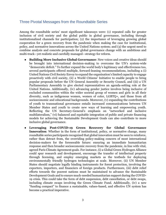### Three Pivotal Messages from the Roundtable Series

Among the roundtable series' most significant takeaways were: (1) repeated calls for greater inclusion of civil society and the global public in global governance, including through institutionalized channels for participation; (2) the importance of leveraging growing global cooperation for a green recovery from the pandemic when making the case for institutional, policy, and normative innovations across the United Nations system; and (3) the urgent need to combine analysis and concrete proposals for global governance change with an ambitious and multi-track—yet realistic and carefully managed—strategy for reform.

- **Building More Inclusive Global Governance**: New voices and creative ideas should be brought into international decision-making to overcome the UN's system-wide "democratic deficit." To further expand the world body's legitimacy and effectiveness too, several participants offered multiple, forward-leaning recommendations, including a (i) United Nations Civil Society Envoy to expand the organisation's limited capacity to engage proactively with civil society, (ii) a World Citizens' Initiative to enable people to bring popular proposals before the UN General Assembly or Security Council, and (iii) a UN Parliamentary Assembly to give elected representatives an agenda-setting role at the United Nations. Additionally, (iv) advancing gender justice involves being inclusive of excluded communities within the wider societal group of women and girls in all their diversity, such as indigenous women, women of color, LGBTQ+, and those from all socioeconomic and educational backgrounds. Moreover, (v) expanding the contributions of youth to transnational governance entails increased communications between UN Member States and youth to create new ways of learning and empowering youth. Reflecting the UN Secretary-General's emphasis on "networked and inclusive multilateralism," (vi) balanced and equitable integration of public and private financing models for achieving the Sustainable Development Goals can also contribute to more inclusive global governance.
- **Leveraging Post-COVID-19 Green Recovery for Global Governance Innovation**: Whether in the form of institutional, policy, or normative change, many roundtable series participants recognized that global innovation must be seen to reinforce, rather than detract from, the overriding policy-making concern of most international decision-makers for the foreseeable future: ensuring an immediate humanitarian response and then broader socioeconomic recovery from the pandemic, in line with vital, agreed Paris Climate Agreement goals. For instance, (i) a Global Green Hydrogen Alliance could spur research and development, encourage the transfer of intellectual property through licensing, and employ emerging markets as the testbeds for deploying environmentally friendly hydrogen technologies at scale. Moreover, (ii) UN Member States should negotiate legally binding instruments for forest protection, involving the exporters, importers, and financiers of foreign products. Furthermore, (iii) debt relief efforts towards the poorest nations must be maintained to advance the Sustainable Development Goals and to ensure much-needed humanitarian support during the COVID-19 crisis. This could take the form of debt suspension, debt cancellation, or debt swaps, including climate swaps involving the Green Climate Fund. Additionally, (iv) a new "funding compact" to finance a sustainable, values-based, and effective UN system has become a practical imperative.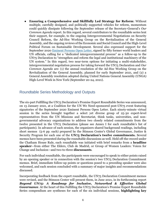● **Ensuring a Comprehensive and Skillfully Led Strategy for Reform**: Without multiple, carefully designed, and politically supported vehicles for reform, momentum could quickly dissipate following the September release of the Secretary-General's *Our Common Agenda* report. In this regard, several contributors to the roundtable series lent their support, for example, to the ongoing Intergovernmental Negotiations on Security Council Reform, the Ad-Hoc Working Group on the Revitalization of the General Assembly, and the ongoing reviews of the Economic and Social Council and the High-Level Political Forum on Sustainable Development. Several also expressed support for the September 2020 [Eminent Persons Open Letter,](https://c4unwn.org/open-letter/) signed by fifty former world leaders and UN officials, calling for a "dedicated intergovernmental process" as a follow-up to the UN75 Declaration to "strengthen and reform the legal and institutional machinery of the UN system." In this regard, two near-term options for initiating a multi-stakeholder, intergovernmental negotiation process for taking forward the UN75 Declaration and *Our Common Agenda* are: (1) the annual resolution of the Ad-Hoc Working Group on the Revitalization of the General Assembly, planned for early September 2021, and (2) a General Assembly resolution adopted during United Nations General Assembly (UNGA) High-Level Week in New York (September 20-24, 2021).

### Roundtable Series Methodology and Outputs

The six-part Fulfilling the UN75 Declaration's Promise Expert Roundtable Series was announced, on 13 January 2021, at a Coalition for the UN We Need-sponsored post-UN75 event featuring signatories of the September 2020 Eminent Persons Open Letter. Each ninety-minute virtual session in the series brought together a select yet diverse group of 25-30 expert-level representatives from the UN Missions and Secretariat, think tanks, universities, and nongovernmental advocacy organizations to address two closely related commitments from the twelve presented in the UN75 Declaration (please see Annex I for each roundtable's list of participants). In advance of each session, the organizers shared background readings, including short memos (5-6 pp. each) prepared by the Stimson Center's Global Governance, Justice & Security Program for each one of the **UN75 Declaration's twelve commitments.** Several memos have been presented during the roundtable discussions as well. Held off-the-record under the Chatham House Rule, each roundtable was initiated with brief remarks from a **headline speaker**—from either The Elders, Club de Madrid, or Group of Women Leaders: Voices for Change and Inclusion—and two-to-three **discussants**.

For each individual roundtable, the participants were encouraged to speak to either points raised by an opening speaker or in connection with the session's two UN75 Declaration Commitment memos. Brief, immediate follow-up points or questions posed to a preceding speaker were also welcomed, and each session concluded with a summary of major insights and recommendations discussed.

Incorporating feedback from the expert roundtable, the UN75 Declaration Commitment memos were revised, and the Stimson Center will present them, in June 2021, in its forthcoming report *Beyond UN75: A Roadmap for Inclusive, Networked & Effective Global*  **Governance**. At the heart of this Fulfilling the UN75 Declaration's Promise Expert Roundtable Series compendium are syntheses for each of the six individual sessions, **highlighting key**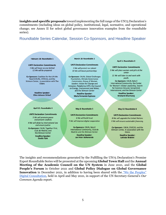**insights and specific proposals** toward implementing the full range of the UN75 Declaration's commitments (including ideas on global policy, institutional, legal, normative, and operational change; see Annex II for select global governance innovation examples from the roundtable series).

### Roundtable Series Calendar, Session Co-Sponsors, and Headline Speaker

#### February 18: Roundtable 1

**UN75 Declaration Commitments** 1 We will leave no one behind 12 We will be prepared

Co-Sponsors: Coalition for the UN We Need (C4UN), CIVICUS, and the Stimson Center, in association with The **Fiders** 

> **Headline Speaker: Ellen Johnson Sirleaf**

#### March 18: Roundtable 2

#### **UN75 Declaration Commitments**

2 We will protect our planet 10 We will boost partnerships

Co-Sponsors: C4UN, Global Challenges Foundation, Climate Governance Commission, Group of Women Leaders: Voices for Change and Inclusion, Plataforma CIPÓ, the Council on Energy, Environment and Water, and the Stimson Center **Headline Speaker:** 

**Maria Fernanda Espinosa** 

#### **April 1: Roundtable 3**

**UN75 Declaration Commitments** 5 We will place women and girls at the center

11 We will listen to and work with youth.

Co-Sponsors: C4UN, Baha'i International Community, the Center for Women's Global Leadership, Search for Common Ground, Soroptimist International, and the Stimson Center

> **Headline Speaker:** Krishanti Dharmaraj

#### April 15: Roundtable 4

### **UN75 Declaration Commitments**

3 We will promote peace and prevent conflicts 4 We will abide by international law and ensure justice Co-Sponsors: C4UN, Together First, Club de Madrid, and the Stimson Center **Headline Speaker: Danilo Türk** 

#### May 6: Roundtable 5

**UN75 Declaration Commitments** 6 We will build trust 7 We will improve digital cooperation

Co-Sponsors: C4UN, Baha'i International Community, Club de Madrid, and the Stimson Center

> **Headline Speaker: Jan Peter Balkenende**

May 12: Roundtable 6

**UN75 Declaration Commitments** 8 We will upgrade the United Nations 9 We will ensure sustainable financing.

Co-Sponsors: C4UN, CIVICUS, and the Stimson Center, in association with the **Elders** 

> **Headline Speaker: Lakhdar Brahimi**

The insights and recommendations generated by the Fulfilling the UN75 Declaration's Promise Expert Roundtable Series will be presented at the upcoming **Global Town Hall** and the **Annual Meeting of the Academic Council on the UN System** in June 2021, and the **Global People's Forum** in October 2021 and **Global Policy Dialogue on Global Governance Innovation** in December 2021, in addition to having been shared with the ["We the Peoples"](https://un75.online/wp-content/uploads/2021/04/EN-more-info-and-FAQ.pdf)  [Digital Consultation,](https://un75.online/wp-content/uploads/2021/04/EN-more-info-and-FAQ.pdf) held in April and May 2021, in support of the UN Secretary-General's *Our Common Agenda* report.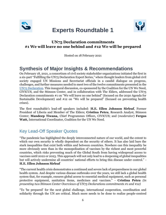<span id="page-6-0"></span>

# **Experts Roundtable 1**



### **UN75 Declaration commitments #1 We will leave no one behind and #12 We will be prepared**

Hosted on 18 February 2021

# **Synthesis of Major Insights & Recommendations**

On February 18, 2021, a consortium of civil society stakeholder organizations initiated the first in a six-part "Fulfilling the UN75 Declaration Expert Series," where thought leaders from global civil society engaged UN Missions and Secretariat officials in a candid dialogue on progress, challenges, and further measures needed to meet two of the twelve commitments presented in th[e](https://undocs.org/en/A/RES/75/1) [UN75 Declaration.](https://undocs.org/en/A/RES/75/1) This inaugural discussion, co-sponsored by the Coalition for the UN We Need, CIVICUS, and the Stimson Center, and in collaboration with The Elders, addressed the UN75 Declaration commitments #1 on "We will leave no one behind" (focused on the 2030 Agenda for Sustainable Development) and #12 on "We will be prepared" (focused on preventing health crises).

The first roundtable's lead-off speakers included: **H.E. Ellen Johnson Sirleaf**, Former President of Liberia and Member of The Elders; **Cristina Petcu**, Research Analyst, Stimson Center; **Mandeep Tiwana,** Chief Programmes Officer**,** CIVICUS; and (*moderator*) **Fergus Watt,** International Coordinator, Coalition for the UN We Need.

# Key Lead-Off Speaker Quotes

"The pandemic has highlighted the deeply interconnected nature of our world, and the extent to which our own security is wholly dependent on the security of others. It has also laid bare the stark inequalities that exist both within and between countries. Nowhere can this inequality be more obviously seen than in the monopolisation of vaccines by the richest and most powerful countries, which risks preventing much of the Global South from having widespread access to vaccines until 2022 or 2023. This approach will not only lead to a deepening of global inequalities but will actively undermine all countries' national efforts to bring this disease under control." - **H.E. Ellen Johnson Sirleaf**

"The current health crisis demonstrates a continued and severe lack of preparedness in our global health system. And despite various disease outbreaks over the years, we still lack a global health system that, for example, ensures global access to essential medical equipment, such as personal protective equipment, sanitation items, medicines and vaccines." - **Cristina Petcu** *(in presenting two Stimson Center Overviews of UN75 Declarations commitments #1 and #12)*

"To 'be prepared' for the next global challenge, international cooperation, coordination and solidarity through the UN are critical. Much more needs to be done to realize people-centred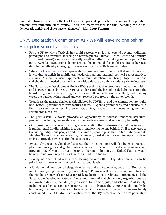multilateralism in the spirit of the UN Charter. Our present approach to international cooperation remains predominantly state centric. There are many reasons for this including the global democratic deficit and civic space challenges." - **Mandeep Tiwana**

### <span id="page-7-0"></span>UN75 Declaration Commitment #1 - We will leave no one behind

- For the UN to work effectively in a multi-sectoral way, it must extend beyond traditional paradigms and attitudes, focusing on how its pillars (Human Rights, Peace and Security, and Development) can work coherently together rather than along separate paths. The 2030 Agenda negotiations demonstrated the potential for multi-sectoral coherence, despite the difficulty in forging consensus across many UN Member States.
- While the [UN75 Declaration](https://undocs.org/en/A/RES/75/1) represents a shared roadmap to ensure that multilateralism is working, a deficit in multilateral leadership among national political representatives remains. A more inclusive approach to multilateralism that brings together various stakeholders is needed considering the critical debate on public goods vs private interests.
- The Sustainable Development Goals (SDGs) seek to tackle structural inequalities within and between states, but COVID-19 has underscored the lack of needed change across the board. Progress toward meeting the SDGs was off course before COVID-19, and in many cases, the pandemic has halted and even reversed progress on the 2030 Agenda.
- To address the myriad challenges highlighted by COVID-19 and the commitment to "build back better", governments must feature the 2030 Agenda prominently and holistically in their recovery responses. Moreover, COVID-19 recovery must focus on green and sustainable measures.
- The post-COVID-19 world provides an opportunity to address unheeded structural problems, including inequality, even if the needs are great and action may be costly.
- COVID-19 has also shown that progressive taxation that addresses inequalities in wealth is fundamental for diminishing inequality and leaving no one behind. Civil society groups (including indigenous peoples and trade unions) should push the United Nations and its Member States to abandon austerity; fortunately, most states are stepping up and at least trying to provide a type of stimulus to citizens.
- By actively engaging global civil society, the United Nations will also be encouraged to place human rights and global public goods at the center of its decision-making and programming. Given the private sector's inherent limitations, the United Nations would be wise to not over-rely on it or to afford it undue influence.
- Leaving no one behind also means leaving no one offline. Digitalization needs to be prioritized by governments at local and national levels.
- A fundamental question to help guide effective and equitable policy action is: "How do we *involve everybody* in re-setting our strategy?" Progress will be constrained in rolling out the Sendai Framework for Disaster Risk Reduction, Paris Climate Agreement, and the Sustainable Development Goals if local and international civil society organizations are not involved directly, including organizations for women, girls, and scholars. Civil society, including academia, can, for instance, help to advance the 2030 Agenda simply by bolstering the case for science. However, civic space around the world remains highly constrained. CIVICUS Monitor statistics reveal that 87 percent of the world's population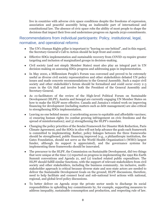live in countries with adverse civic space conditions despite the freedoms of expression, association and peaceful assembly being an inalienable part of international and constitutional law. The absence of civic space robs the ability of most people to shape the decisions that impact their lives and undermines progress on Agenda 2030 commitments.

- The UN's Human Rights pillar is important to "leaving no one behind", and in this regard, the Secretary-General's Call to Action should be kept front and center.
- Effective SDGs implementation and sustainable recovery from COVID-19 require greater targeting and inclusion of marginalized groups in decision-making.
- Civil society (and not simply Member States) must also play an integral part in UN decision-making on assessing SDGs progress and addressing gaps in implementation.
- In May 2000, a Millennium People's Forum was convened and proved to be extremely useful as diverse civil society representatives and other stakeholders debated UN policy issues and made concrete recommendations to the General Assembly. Such a major civil society and other stakeholder's forum should be formalized and could occur every 2-3 years in the GA Hall and involve both the President of the General Assembly and Secretary-General.
- As co-facilitators of the review of the High-level Political Forum on Sustainable Development (HLPF), Austria and Senegal are currently engaging UN Member States on how to make the HLPF more effective. Canada and Jamaica's related work on improving financing for development (including matters such as debt management) are also critical to strengthening SDGs implementation.
- Leaving no one behind means: 1) accelerating access to equitable and affordable vaccines; 2) ensuring human rights (to combat growing infringement on civic freedoms and the spread of misinformation); and 3) strengthening the HLPF's mandate.
- Changing the policy priorities of the Sendai Framework for Disaster Risk Reduction, Paris Climate Agreement, and the SDGs in silos will not help advance the goals each framework is committed to implementing. Rather, policy linkages between the three frameworks should be strengthened, public financing improved (e.g., a philanthropic institution, the Gates Foundation, should not serve as the World Health Organization's (WHO) largest funder, although its support is appreciated), and the governance systems for implementing these frameworks should be innovated.
- The precursor to the HLPF, the Commission on Sustainable Development, did two things that were unique at the time: (1) reported on progress in implementing the 1992 Rio Earth Summit conventions and Agenda 21, and (2) tracked related public expenditure. The HLPF should fulfill similar functions, with the support of relevant stakeholders from civil society and other stakeholders, including the business community. An inclusive, multistakeholder approach is critical because diverse state and non-state actors are needed to deliver the Sustainable Development Goals on the ground; HLPF discussions, therefore, need to help facilitate and connect local and sub-national level actions with national, regional, and global-level policy discussions.
- To better deliver on Agenda 2030 the private sector needs to discharge its social responsibilities in upholding key commitments by, for example, supporting measures to address inequality, sustainable consumption and production, and respecting rule of law.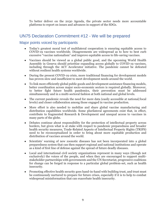To better deliver on the 2030 Agenda, the private sector needs more accountable platforms to report on issues and advances in support of the SDGs.

### <span id="page-9-0"></span>UN75 Declaration Commitment #12 - We will be prepared

- Today's greatest moral test of multilateral cooperation is ensuring equitable access to COVID-19 vaccines worldwide. Disagreements are widespread as to how to best curb excessive "vaccine nationalism" and improve equitable access to life-saving vaccines.
- Vaccines should be viewed as a global public good, and the upcoming World Health Assembly in Geneva should prioritize expanding access globally to COVID-19 vaccines, including through the ACT Accelerator initiative. The pandemic cannot be defeated without resilient health systems worldwide.
- During the present COVID-19 crisis, more traditional financing for development models has proven slow and insufficient to meet development needs around the world.
- To link more efficiently global public goods and development assistance financing models, better coordination across major socio-economic sectors is required globally. Moreover, to better fight future health pandemics, their prevention must be addressed simultaneously and in a multi-sectoral fashion at both national and global levels.
- The current pandemic reveals the need for more data (easily accessible at national/local levels) and closer collaboration among those engaged in vaccine production.
- More effort is also needed to mobilize and share global vaccine manufacturing and distribution capabilities worldwide. Some plurilateral agreements exist that, in effect, contribute to fragmented Research & Development and unequal access to vaccines in many parts of the globe.
- Debates continue about responsibility for the protection of intellectual property across borders, but given what is at stake with respect to pandemic preparedness and broader health security measures, Trade-Related Aspects of Intellectual Property Rights (TRIPS) need to be reconceptualized in order to bring about more equitable production and distribution of vaccines around the world.
- Scientists' warning of new zoonotic diseases has not been incorporated into a global preparedness system that can then support regional and national institutions and operate as a kind of first line of defense against the spread of future deadly diseases.
- Local and international civil society organizations represent in many ways (though not exclusively) the voices of the people, and when they are encouraged to support multistakeholder partnerships with governments and the UN Secretariat, progressive coalitions for change can be forged in response to a particular global problem-set, such as health insecurity.
- Promoting effective health security goes hand-in-hand with building trust, and trust must be continuously nurtured to prepare for future crises, especially if it is to help to combat widespread misinformation that can exacerbate health insecurity.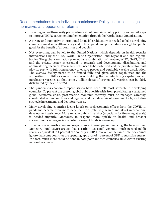- Investing in health-security preparedness should remain a policy priority and entail steps to improve TRIPS agreement implementation through the World Trade Organization.
- A strong and supportive international financial architecture is needed to help developing countries invest in health-security and to treat pandemic preparedness as a global public good for the benefit of all countries and peoples.
- Not everything can be left to the United Nations, which depends on health security interventions by the G20, World Trade Organization, and regional and sub-regional bodies. The global vaccination plan led by a combination of the G20, WHO, GAVI, CEPI, and the private sector is essential in research and development, distributing, and administering vaccines. Pharmaceuticals need to be mobilized, and the private sector must play its part with full transparency to ensure proper and equitable vaccine distribution. The COVAX facility needs to be funded fully and given other capabilities and the authorities to fulfill its central mission of building the manufacturing capabilities and purchasing vaccines so that some 2 billion doses of proven safe vaccines can be fairly distributed by the end of 2021.
- The pandemic's economic repercussions have been felt most severely in developing countries. To prevent the present global public health crisis from precipitating a sustained global economic crisis, post-vaccine economic recovery must be managed carefully, coordinated across countries and regions, and include a mix of economic tools, including strategic investments and debt forgiveness.
- Many developing countries facing knock-on socioeconomic effects from the COVID-19 pandemic became even more dependent on (relatively scarce and slow) international development assistance. More reliable public financing (especially for financing at scale) is needed urgently. Moreover, to respond more quickly to health and broader socioeconomic emergencies, a faster release of funds is necessary.
- In terms of one possible new and major source of development financing, the International Monetary Fund (IMF) argues that a carbon tax could generate much-needed public revenue equivalent to 2 percent of a country's GDP. However, at the same time, one cannot ignore that some countries are spending upwards of 5 percent of GDP to subsidize energy. In short, much more could be done in both poor and rich countries alike within existing national resources.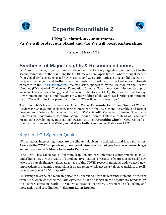<span id="page-11-0"></span>

# **Experts Roundtable 2**



### **UN75 Declaration commitments #2 We will protect our planet and #10 We will boost partnerships**

Hosted on 18 March 2021

# **Synthesis of Major Insights & Recommendations**

On March 18, 2021, a consortium of independent civil society organizations took part in the second roundtable of the "Fulfilling the UN75 Declaration Expert Series," where thought leaders from global civil society engaged UN Missions and Secretariat officials in a candid dialogue on progress, challenges, and further measures needed to meet two of the twelve commitments presented in the [UN75 Declaration.](https://undocs.org/en/A/RES/75/1) This discussion, sponsored by the Coalition for the UN We Need (C4UN), Global Challenges Foundation/Climate Governance Commission, Group of Women Leaders for Change, and Inclusion, Plataforma CIPÓ, the Council on Energy, Environment and Water, and the Stimson Center, addressed the UN75 Declaration commitments #2 on "We will protect our planet" and #10 on "We will boost partnerships."

The roundtable's lead-off speakers included: **María Fernanda Espinosa,** Group of Women Leaders for Change and Inclusion, former President of the UN General Assembly, and former Foreign and Defense Minister of Ecuador; **Maja Groff,** Convener, Climate Governance Commission (*moderator*); **Jimena Leiva Roesch,** Senior Fellow and Head of Peace and Sustainable Development, International Peace Institute; **Arunabha Ghosh,** CEO**,** Council on Energy, Environment And Water; and **Maiara Folly**, Co-founder, Plataforma CIPÓ.

## Key Lead-Off Speaker Quotes

"Three major, intersecting issues are the climate, biodiversity extinction, and inequality crises. Alongside the COVID-19 pandemic, these global crises over the past year have become even bigger and more profound."- **María Fernanda Espinosa**

"The UNSG has called for a "quantum leap" on net-zero emissions commitments in 2021, underlining how dire the reality of our planetary situation is. We also, of course, need crucial new levels of strategic finance, taking advantage of this COVID recovery moment; and, we need new, unprecedented, dynamic partnerships if we are to make this necessary global transition, to really protect our planet." - **Maja Groff**

"In setting the scene, it's really important to understand how this [current] moment is different from 2015, when we signed the Paris Agreement… It's no longer in the negotiators' hands to get to a net zero emissions world - it requires a bigger set of actors. ... We need less launching and more action and coordination."- **Jimena Leiva Roesch**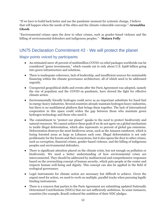"If we have to build back better and use the pandemic moment for systemic change, I believe that will happen when the needs of the elites and the climate-vulnerable converge."-**Arunabha Ghosh**

"Environmental crimes open the door to other crimes, such as gender-based violence and the killing of environmental defenders and indigenous peoples." - **Maiara Folly**

# <span id="page-12-0"></span>UN75 Declaration Commitment #2 - We will protect the planet

- An estimated mere 18 percent of multimillion COVID-19 relief packages worldwide can be considered "green investments," which rounds out to only about U.S. \$368 billion going into green infrastructure and solutions.
- There is inadequate coherence, lack of leadership, and insufficient sources for sustainable financing within the climate governance architecture, all of which need to be addressed urgently.
- Unexpected geopolitical shifts and events after the Paris Agreement was adopted, namely the rise of populism and the COVID-19 pandemic, have slowed the fight for effective climate action.
- Environmentally friendly hydrogen could serve as an important substitute for fossil fuel in energy-heavy industries. Several countries already maintain hydrogen heavy industries, but there is no multilateral platform that brings them together. The lack of international cooperation in this space could widen the gap between those who maintain green hydrogen technology and those who need it.
- The commitment to "protect our planet" speaks to the need to protect biodiversity and natural resources. We cannot achieve these goals if we do not agree on a global mechanism to tackle illegal deforestation, which also represents 10 percent of global gas emissions. Deforestation destroys the most biodiverse areas, such as the Amazon rainforest, which is losing forested areas as large as Lebanon each year. Illegal deforestation is not only problematic for the forests and their ecosystems, but it also opens the door to other crimes, such as corruption, financial crimes, gender-based violence, and the killing of indigenous peoples and environmental defenders.
- There is significant attention placed on the climate crisis, but not enough on pollution or biodiversity. We need a better understanding of how environmental crises are interconnected. They should be addressed by multisectoral and comprehensive responses based on the overarching concept of human security, which puts people at the center and respects human well-being and dignity. This concept can also be applied in the field of ecological governance.
- Legal instruments for climate action are necessary but difficult to achieve. Given the urgent need for action, we need to work on multiple, parallel tracks when pursuing legally binding instruments.
- There is a concern that parties to the Paris Agreement are submitting updated Nationally Determined Contributions (NDCs) that are not sufficiently ambitious. In some instances, countries (for example, Brazil) reduced the ambition of their NDC pledges.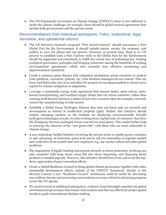● The UN Framework Convention on Climate Change (UNFCCC) alone is not sufficient to tackle the climate challenge; for example, there should be global sectoral agreements that include both governments and the private sector.

- The UN Secretary-General's proposed "New Social Contract" should encompass a New Global Pact for the Environment. It should include nature, society, the economy, and politics to save our planet and our species. However, at present time, there is no UN process to establish such a Pact. Current work on the Global Pact for the Environment should be supported and prioritized, to fulfill the crucial aim of enshrining key, binding ecological governance principles and bringing coherence among the hundreds of existing environmental agreements, which also currently lack effective monitoring and implementation standards.
- Create a common green finance risk mitigation mechanism across countries to analyze risks (political, currencies, policies, etc.) that business managers do not control. This can lower and flatten the risk curve and allow for projects in emerging markets to attract more capital for climate mitigation or adaptation.
- Leverage a sustainable energy trade agreement that ensures better, more robust, rulesbound manufacturing, and localized supply chains that cut across countries, rather than creating tariff barriers between a subset of just a few countries that, for example, currently control the manufacturing of solar panels.
- Establish a Global Green Hydrogen Alliance that does not focus only on research and development or control of intellectual property rights. Rather, this initiative should employ emerging markets as the testbeds for deploying environmentally friendly hydrogen technologies at scale, in order to bring down capital costs, for instance, that drive the divergence between hydrogen versus coal-driven steel plants. This would further help to converge the interests of the "new green elite" with those who are most vulnerable to climate change.
- A new technology facility/initiative involving the private sector to enable poorer countries to take advantage of innovative green-tech and to roll out renewables is urgently needed and could draw from models that were employed, e.g., for vaccine rollout and other global problems.
- The negotiation of legally binding instruments focused on forest protection, involving not only countries with large forest areas but also those importing, and financing forest products is needed urgently. However, this initiative should learn from and avoid the topdown approaches of past convention efforts.
- Create a Global Resilience Council to bring global climate governance together with wider sustainable development efforts, outside of the UNFCCC framework. Similar to the Security Council, a new "Resilience Council" mechanism could be useful for discussing non-military threats and promoting conversations on issues critical to advancing progress across the UN agenda.
- We need to invest in additional anticipatory, evidence-based foresight capacities for global environmental governance that ensure vital analysis and that can effectively project global trends to guide international decision-making.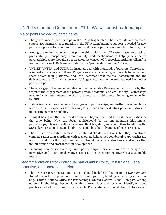### <span id="page-14-0"></span>UN75 Declaration Commitment #10 - We will boost partnerships

### Major points voiced by participants

- The governance of partnerships in the UN is fragmented. There are bits and pieces of support for partnerships to function in the UN system, but more support is needed for new partnership ideas to be followed-through and for new partnership initiatives to progress.
- Among the major challenges that partnerships within the UN system face are a lack of predictability, transparency, accountability, and mechanisms to help guide effective partnerships. More thought is required on the concept of "networked multilateralism," as well as the place of UN Member States in the "partnership-building" space.
- UNICEF, UNFPA, and UNDP, for instance, deal with thousands of partners. Therefore, it is important to know who these UN agencies are working with, who is able to deliver and share across their platforms, and who identifies what the risk assessment and the deliverables are. This will allow each UN agency to build on lessons learned from other partnerships.
- There is a gap in the implementation of the Sustainable Development Goals (SDGs) that requires the engagement of the private sector, academia, and civil society. Partnerships need to foster better integration of private sector and public sector financing for achieving the SDGs.
- Data is important for assessing the progress of partnerships, and further investments are needed to build capacities for tracking global trends and evaluating policy initiatives on pioneering new partnerships.
- It might be argued that the world has moved beyond the need to create new treaties for the time being. Now the focus could/should be on implementing high-impact partnerships, integrating all sectors across the UN system, and committing to fulfilling the SDGs; key occasions like Stockholm +50 could be taken advantage of in this respect.
- There is an observable increase in multi-stakeholder coalitions, but they sometimes compete rather than coordinate with each other. Reimagined collaborative approaches are needed to address the traditional and continual challenges, structures, and issues that inhibit human and environmental development.
- Financing new projects and dynamic partnerships is crucial if we are to bring about normative and operational change, especially in transitioning towards a sustainable future.

### Recommendations from individual participants: Policy, institutional, legal, normative, and operational reforms

● The UN Secretary-General and his team should include in the upcoming *Our Common Agenda* report a proposal for a new Partnerships Hub, building on existing structures (e.g., United Nations Office for Partnerships, United Nations Global Compact, among others). It should go beyond launching partnerships and focus on identifying good practices and follow-through initiatives. The Partnerships Hub could also help to scale-up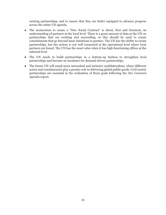existing partnerships, and to ensure that they are better equipped to advance progress across the entire UN agenda.

- The momentum to create a "New Social Contract" is about, first and foremost, an understanding of partners at the local level. There is a great amount of data at the UN on partnerships that are working and succeeding, so this should be used to create commitments that go beyond basic intentions to partner. The UN has the ability to create partnerships, but the system is not well connected at the operational level where local partners are found. The UN has the most value when it has high functioning offices at the national level.
- The UN needs to build partnerships in a bottom-up fashion to strengthen local partnerships and become an incubator for demand-driven partnerships.
- The future UN will entail more networked and inclusive multilateralism, where different actors and constituencies play a greater role in delivering global public goods. Civil society partnerships are essential in the realization of these goals following the *Our Common Agenda* report.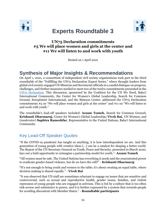<span id="page-16-0"></span>



# **Experts Roundtable 3**

### **UN75 Declaration commitments #5 We will place women and girls at the center and #11 We will listen to and work with youth**

Hosted on 1 April 2021

# **Synthesis of Major Insights & Recommendations**

On April 1, 2021, a consortium of independent civil society organizations took part in the third roundtable of the "Fulfilling the UN75 Declaration Expert Series," where thought leaders from global civil society engaged UN Missions and Secretariat officials in a candid dialogue on progress, challenges, and further measures needed to meet two of the twelve commitments presented in th[e](https://undocs.org/en/A/RES/75/1) [UN75 Declaration](https://undocs.org/en/A/RES/75/1). This discussion, sponsored by the Coalition for the UN We Need, Baha'i International Community, the Center for Women's Global Leadership, Search for Common Ground, Soroptimist International, and the Stimson Center, addressed the UN75 Declaration commitments #5 on "We will place women and girls at the center" and #11 on "We will listen to and work with youth."

The roundtable's lead-off speakers included: **Azzam Tomeh,** Search for Common Ground; **Krishanti Dharmaraj,** Center for Women's Global Leadership**; Vivek Rai,** UN Women; and (*moderator*) **Saphira Rameshfar**, Representative to the United Nations, Baha'i International Community.

# Key Lead-Off Speaker Quotes

"If the COVID-19 pandemic has taught us anything, it is how interdependent we are. And this generation of young people with creative ideas [...] can be a catalyst for shaping a better world. The Report of the UN Secretary-General on Youth, Peace and Security, presented in March 2020, lays out a bold opportunity to reimagine a partnership model for youth."- **Azzam Tomeh**

**"**All women must be safe. The United Nations has everything it needs and the concentrated power to eradicate gender-based violence, but do we have the will?" - **Krishanti Dharmaraj**

**"**It's not enough to bring youth and women to the table; it's about creating an equal table, where decision making is shared equally." - **Vivek Rai**

"It was observed that UN staff are sometimes reluctant to engage on issues that are sensitive and controversial, such as sexual and reproductive health, gender issues, families, and violent repression of young people who are engaged in activism. This is fed by a culture that is too often risk-averse and submissive to power, and it is further expressed by a system that rewards people for avoiding discontent with Member States." - **Roundtable participants**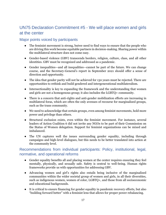# <span id="page-17-0"></span>UN75 Declaration Commitment #5 - We will place women and girls at the center

### Major points voiced by participants

- The feminist movement is strong, butwe need to find ways to ensure that the people who are driving this work become equitable partners in decision-making. Sharing power within the multilateral structure does not come easy.
- Gender-based violence (GBV) transcends borders, religion, culture, class, and all other identities. GBV must be recognized and addressed as a pandemic.
- Gender inequalities—and all inequalities—cannot be part of the future. We can change course, and the Secretary-General's report in September 2021 should offer a sense of direction and opportunity.
- The idea that gender parity will not be achieved for 130 years must be rejected. There are opportunities to rethink and build gendered and intergenerational multilateralism.
- Intersectionality is key to expanding the framework and the understanding that women and girls are not a homogenous group; it also includes the LGBTQ+ community.
- There is a concern that anti-rights and anti-gender mobilization efforts are increasing in multilateral foras, which are often the only avenues of recourse for marginalized groups, such as the trans community.
- We need to acknowledge that certain groups, even among feminist movements, hold more power and privilege than others.
- Structural exclusion exists, even within the feminist movement. For instance, several leaders of Action Coalition 6 did not invite any NGOs to be part of their Commission on the Status of Women delegation. Support for feminist organizations can be mixed and imbalanced.
- The UN captures well the issues surrounding gender equality, including through campaigns and high-level dialogues, but this needs to be better translated into action at the community level.

- Gender equality benefits all and placing women at the center requires ensuring they feel mentally, physically, and sexually safe. Safety is central to well-being. Human rights frameworks provide us with opportunities for addressing GBV.
- Advancing women and girl's rights also entails being inclusive of the marginalized communities within the wider societal group of women and girls, in all their diversities, such as indigenous women, women of color, LGBTQ+, and those from all socioeconomic and educational backgrounds.
- It is critical to ensure financing for gender equality in pandemic recovery efforts, but also "building forward better" with a feminist lens that allows for proper power rebalancing.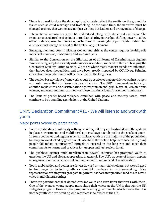- There is a need to close the data gap to adequately reflect the reality on the ground for issues such as child marriage and trafficking. At the same time, the narrative must be changed to show that women are not just victims, but leaders and protagonists of change.
- Intersectional approaches must be understood along with structural exclusion. The response to structural exclusion is more than sharing power but shifting power to allow other under-represented voices opportunities to meaningfully participate. Patriarchal attitudes must change or a seat at the table is only tokenism.
- Engaging men and boys in placing women and girls at the center requires healthy role models of manhood/masculinity and accountability.
- Similar to the Convention on the Elimination of all Forms of Discrimination Against Women being adopted as a city ordinance or resolution, we need to think of bringing the Generation Equality Forum to cities. Cities are where many modern trends are enhanced, they harbor deep inequalities, and have been greatly impacted by COVID-19. Bringing cities closer to gender issues will be beneficial in the long term.
- The gender-based violence framework should be used over that on violence against women and girls, given that the former is more inclusive. The GBV framework includes (in addition to violence and discrimination against women and girls) bisexual, lesbian, trans women, and trans and intersex men—or those that don't identify as either (nonbinary).
- The issue of gender-based violence, combined with peace and security issues, must continue to be a standing agenda item at the United Nations.

# <span id="page-18-0"></span>UN75 Declaration Commitment #11 - We will listen to and work with youth

- Youth are standing in solidarity with one another, but they are frustrated with the systems in place. Governments and multilateral systems have not adapted to the needs of youth. In some countries and regions (such as Africa), youth are the majority of the population, but they are overlooked by governments who have the tools to help them succeed. If young people fail today, countries will struggle to succeed in the long run and meet their commitments to norms and practices for an open and just society for all.
- The pushback against multilateralism from several countries has prompted youth to question the UN and global cooperation, in general. The UN's 75 years of history depicts an organization that is patriarchal and bureaucratic, and in need of revitalization.
- Youth mobilization and action are driven forward by many stakeholders, but we still need to find ways to include youth as equitable partners in decision-making. Also, representation within youth groups is important, as those marginalized tend to not have a voice in multilateral settings.
- There are governments that do not work for youth and even fewer that work with them. One of the avenues young people must share their voices at the UN is through the UN Delegates program. However, the program is led by governments, which means that it is not the youth who are deciding who represents their voice at the UN.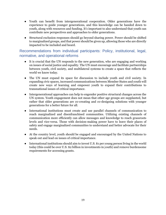- Youth can benefit from intergenerational cooperation. Older generations have the experience to guide younger generations, and this knowledge can be handed down to youth, along with resources and funding. It's important to also understand that youth can contribute new perspectives and approaches to older generations.
- Structural exclusion responses should go beyond sharing power. Power should be shifted to marginalized groups, and that power should be given up, allowing those who are directly impacted to be included and heard.

- It is crucial that the UN responds to the new generation, who are engaging and working on issues of social justice and equality. The UN must encourage and facilitate partnerships between youth, civil society, and multilateral systems to create a space that reflects the world we know today.
- The UN must expand its space for discussion to include youth and civil society. In expanding civic spaces, increased communications between Member States and youth will create new ways of learning and empower youth to expand their contributions to transnational issues of critical importance.
- Intergenerational approaches can help to engender positive structural changes across the UN system. Youth engagement does not mean that other age groups are supplanted, but rather that older generations are co-creating and co-designing solutions with younger generations for a better future for all.
- International institutions must create and use parallel channels of communication to reach marginalized and disenfranchised communities. Utilizing existing channels of communication more efficiently can allow messages and knowledge to reach grassroots levels and vice-versa. Those with decision-making power have to leave their places of safety and engage marginalized communities to understand and better advocate for their needs.
- At the country level, youth should be engaged and encouraged by the United Nations to speak out and lead on issues of critical importance.
- International institutions should aim to invest U.S. \$1 per young person living in the world today (this could be over U.S. \$2 billion in investments in youth) and remove burdensome requirements for accessing grants.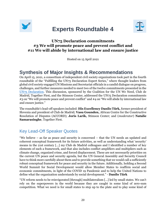<span id="page-20-0"></span>

# **Experts Roundtable 4**



### **UN75 Declaration commitments #3 We will promote peace and prevent conflict and #11 We will abide by international law and ensure justice**

Hosted on 15 April 2021

# **Synthesis of Major Insights & Recommendations**

On April 15, 2021, a consortium of independent civil society organizations took part in the fourth roundtable of the "Fulfilling the UN75 Declaration Expert Series," where thought leaders from global civil society engaged UN Missions and Secretariat officials in a candid dialogue on progress, challenges, and further measures needed to meet two of the twelve commitments presented in th[e](https://undocs.org/en/A/RES/75/1) [UN75 Declaration.](https://undocs.org/en/A/RES/75/1) This discussion, sponsored by the Coalition for the UN We Need, Club de Madrid, Together First, and the Stimson Center, addressed the UN75 Declaration commitments #3 on "We will promote peace and prevent conflict" and #4 on "We will abide by international law and ensure justice."

The roundtable's lead-off speakers included: **His Excellency Danilo Türk,** former president of Slovenia and president of Club de Madrid; **Vasu Gounden,** African Centre for the Constructive Resolution of Disputes (ACCORD); **Joris Larik,** Stimson Center; and (*moderator*) **Natalie Samarasinghe**, Together First.

# Key Lead-Off Speaker Quotes

"We believe – as far as peace and security is concerned – that the UN needs an updated and coherent conceptual framework for its future activities, as well as understanding what 'security' means in the 21st century [...] my Club de Madrid colleagues and I identified a number of key elements of such a framework, and that also includes conflict amplifiers and multipliers such as climate change, organized crime, and forced displacement. These are not necessarily priorities on the current UN peace and security agenda, but the UN General Assembly and Security Council have to think more carefully about them and to provide something that we would call a sufficiently robust conceptual framework for peace and security in the future. Additionally, holding a Second World Summit for Social Development would allow Member States to reaffirm social and economic commitments, in light of the COVID 19 Pandemic and to help the United Nations to define what the organization understands by social development." - **Danilo Türk**

"UN reform needs to be reinvigorated [through] multilateralism […] led by small states. We can't rely on the superpowers in the world because they are caught in some kind of zero-sum competition. What we need is for small states to step up to the plate and to play some kind of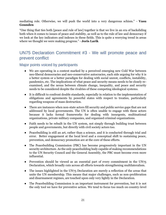mediating role. Otherwise, we will push the world into a very dangerous schism." - **Vasu Gounden**

"One thing that ties both [peace and rule of law] together is that we live in an era of backsliding both when it comes to issues of peace and stability, as well as to the rule of law and democracy if we look at the key indicators and indexes in these fields. This is quite a worrying trend in areas where we thought we were making progress." - **Joris Larik**

## <span id="page-21-0"></span>UN75 Declaration Commitment #3 - We will promote peace and prevent conflict

- We are operating in a context marked by a perceived emerging new Cold War between neo-liberal democracies and neo-conservative autocracies, each side arguing for why it is a better system or a better paradigm for dealing with social unrest, conflicts, instability, pandemics, etc. The implications of what peace and security means needs to be closely reexamined, and the nexus between climate change, inequality, and peace and security needs to be considered despite the rivalries of these competing ideological systems.
- It is difficult to confront double standards, especially in relation to the implementation of obligations and agreements by powerful states with respect to treaties, particularly regarding weapons of mass destruction.
- There are instances when non-state actors fill security and public service gaps that are not addressed by local governments. The UN is often unable to engage with these actors because it lacks formal frameworks for dealing with insurgents, multinational organizations, private military companies, and organized criminal organizations.
- Faith needs to be rebuilt in the UN system, not simply through building trust between people and governments, but directly with civil society actors too.
- Peacebuilding is still an art, rather than a science, and it is conducted through trial and error. Better engagement at the local level and a conceptual shift to sustaining peace, prevention, and democracy promotion are at the core of these efforts.
- The Peacebuilding Commission (PBC) has become progressively important in the UN security architecture. As the only peacebuilding body capable of making recommendations to the UN Security Council and the General Assembly, the PBC must become even more influential.
- Prevention should be viewed as an essential part of every commitment in the UN75 Declaration, which broadly cuts across all efforts towards strengthening multilateralism.
- The issues highlighted in the UN75 Declaration are merely a reflection of the areas that unite the UN membership. This means that major challenges, such as non-proliferation and disarmament regimes, are touched upon only very lightly in the Declaration.
- The Peacebuilding Commission is an important instrument for prevention, but it is not the only tool we have for preventive action. We tend to focus too much on country-level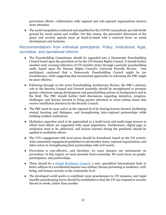prevention efforts; collaboration with regional and sub-regional organizations deserve more attention.

● The social inequalities evidenced and amplified by the COVID-19 pandemic provide fertile ground for social unrest and conflict. For this reason, the preventive dimension of the peace and security agenda must go hand-in-hand with a renewed focus on social development and inclusion.

- The Peacebuilding Commission should be upgraded into a Democratic Peacebuilding Council based upon the precedent set by the UN Human Rights Council. It should further monitor early warning indicators of UN member states through a periodic peacebuilding audit, based upon the Human Rights Council's Universal Periodic Review. One participant cautioned that a Democratic Peacebuilding Council might be too revolutionary, while suggesting that incremental approaches to reforming the PBC might be more effective.
- Following through on the 2020 Peacebuilding Architecture Review, the PBC's advisory role to the Security Council and General Assembly should be strengthened to promote greater coherence among development and peacebuilding actions at headquarters and in the field. The PBC should further hold discussions regarding initiatives, progress, challenges, and lessons learned to bring greater attention to cross-cutting issues that receive insufficient attention by the Security Council.
- The PBC must be more active at the regional level by sharing lessons learned, facilitating mutual learning and dialogues, and strengthening inter-regional partnerships while building resilient institutions.
- Mediation capacities need to be approached as a multi-track and multi-stage process in which local efforts are supported with equal importance. Furthermore, digital gaps in mediation need to be addressed, and lessons learned during the pandemic should be applied to mediation efforts.
- The UN's engagement with local actors should be formalized, based on the UN systemwide community engagement guidelines to aid member states, regional organizations, and other actors in strengthening their partnerships with civil society.
- Prevention is cost-effective, and therefore, we must sharpen our instruments on prevention. In this regard, we must promote local ownership. We must focus on people, participation, and partnerships.
- There should be a [Global Resilience Council,](https://www.foggs.org/wp-content/uploads/2020/08/FOGGS-UN75plus25_Proposal_II-Global-Resilience-Council_zero-draftfinal29-Aug-2020-1.pdf) a new, specialized international body to better address in a coordinated manner non-military threats pertaining to resilience, wellbeing, and human security at the community level.
- The developed world needs to contribute more peacekeepers to UN missions, and rapid standby peacekeeping forces should be established so that the UN can respond to security threats in weeks, rather than months.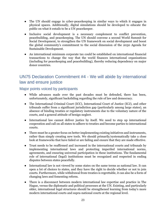- The UN should engage in cyber-peacekeeping in similar ways to which it engages in physical spaces. Additionally, digital simulations should be developed to educate the public on what it entails to be a UN peacekeeper.
- Inclusive social development is a necessary complement to conflict prevention, peacebuilding, and peacekeeping. The UN should convene a second World Summit for Social Development, to strengthen the UN framework on social development and boost the global community's commitment to the social dimension of the 2030 Agenda for Sustainable Development.
- An international minimum corporate tax could be established on international financial transactions to change the way that the world finances international organizations (including for peacekeeping and peacebuilding), thereby reducing dependency on major donor countries.

## <span id="page-23-0"></span>UN75 Declaration Commitment #4 - We will abide by international law and ensure justice

- While advances made over the past decades must be defended, there has been, unfortunately, significant backsliding regarding the rule of law and democracy.
- The International Criminal Court (ICC), International Court of Justice (ICJ), and other tribunals suffer from a significant jurisdiction gap (particularly among large states), an absence of binding treaties or regulatory instruments due to the voluntary nature of the courts, and a general attitude of benign neglect.
- International law cannot deliver justice by itself. We need to step up international cooperation and call on all states to adhere to treaties and become parties to international courts.
- There must be a greater focus on better implementing existing initiatives and instruments, rather than simply creating new tools. We should primarily/systematically take a close look at frameworks that have failed or are failing and ensure that they are made effective.
- Trust needs to be reaffirmed and increased in the international courts and tribunals by implementing international laws and protecting imperiled international norms, agreements, and ensuring universal participation in these institutions. The fundamental role of international (legal) institutions must be recognized and respected in ending disputes between states peacefully.
- International law is not viewed by some states on the same terms as national law. It can open a lot of choices to states, and they have the right to decide whether or not to join courts. Furthermore, while withdrawal from treaties is regrettable, it can also be a form of changing laws and fomenting reform.
- There is a disconnect between modern international law expertise and practice in The Hague, versus the diplomatic and political processes at the UN. Existing, and particularly older, international legal structures should be strengthened learning from today's more modern international courts and supra-national courts at the regional level.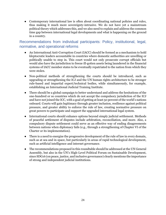• Contemporary international law is often about coordinating national policies and rules, thus making it much more sovereignty-intrusive. We do not have yet a mainstream political theory which addresses this, and we also need to explain and address the common time gap between international legal developments and what is happening on the ground in a country.

- An International Anti-Corruption Court (IACC) should be formed as a mechanism to hold kleptocratic leaders accountable in countries where domestic authorities are unwilling or politically unable to step in. This court would not only prosecute corrupt officials but would also have the jurisdiction to freeze ill-gotten assets being laundered in the financial systems of IACC member states to be eventually repatriated to the nation from which they were stolen.
- Non-political methods of strengthening the courts should be introduced, such as upgrading or strengthening the ICJ and the UN human rights architecture to be stronger rule-based and impartial expert/technical bodies, while simultaneously, for example, establishing an International Judicial Training Institute.
- There should be a global campaign to better understand and address the hesitations of the one-hundred or so countries which do not accept the compulsory jurisdiction of the ICJ and have not joined the ICC, with a goal of getting at least 50 percent of the world's nations onboard. Courts will gain legitimacy through greater inclusion, resilience against political pressure, and greater ability to enforce the rule of law, creating normative pressure on great powers to participate and support the upgraded international legal system.
- International courts should enhance options beyond simply judicial settlement. Methods of peaceful settlement of disputes include arbitration, reconciliation, and more. Also, a compulsory dispute settlement could serve as an effective way of ending disagreements between nations when diplomacy fails (e.g., through a strengthening of Chapter VI of the Charter or its implementation).
- There is a need to energize the progressive development of the rule of law in every domain, such as at sea and in space, but particularly in areas of rapid technological development, such as artificial intelligence and internet governance.
- The recommendations proposed in this roundtable should be addressed at the UN General Assembly, but also in the UN's High-Level Political Forum on Sustainable Development, since SDG16 (on peace, justice, and inclusive governance) clearly mentions the importance of strong and independent judicial institutions.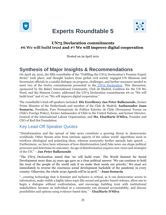<span id="page-25-0"></span>

# **Experts Roundtable 5**



### **UN75 Declaration commitments #6 We will build trust and #7 We will improve digital cooperation**

Hosted on 29 April 2021

# **Synthesis of Major Insights & Recommendations**

On April 29, 2021, the fifth roundtable of the "Fulfilling the UN75 Declaration's Promise Expert Series" took place, and thought leaders from global civil society engaged UN Missions and Secretariat officials in a candid dialogue on progress, challenges, and further measures needed to meet two of the twelve commitments presented in the [UN75 Declaration.](https://undocs.org/en/A/RES/75/1) This discussion, sponsored by the Bahá'í International Community, Club de Madrid, Coalition for the UN We Need, and the Stimson Center, addressed the UN75 Declaration commitments #6 on "We will build trust" and #7 on "We will improve digital cooperation."

The roundtable's lead-off speakers included: **His Excellency Jan Peter Balkenende,** former Prime Minister of the Netherlands and member of the Club de Madrid; **Ambassador Juan Somavía,** President, Foro Permanente de Política Exterior de Chile (Permanent Forum on Chile's Foreign Policy), former Ambassador of Chile to the United Nations, and former Director-General of the International Labour Organization; and **Ms. ElsaMarie D'Silva,** Founder and CEO of Red Dot Foundation.

## Key Lead-Off Speaker Quotes

"Disinformation and the spread of fake news constitute a growing threat to democracies worldwide. Other threats arise from intrinsic aspects of the online world: algorithms seem to reinforce ideological and polarizing ideas, whereas anonymity further spreads hate speech … Furthermore, we have been witnesses of how disinformation [and] fake news can shape political processes and determine its outcomes. An age of disinformation requires new views and strategies of the UN." – **Jan Peter Balkenende**

"The UN75 Declaration stated that 'we will build trust.' The World Summit for Social Development more than 25 years ago gave us a clear political answer: 'We can continue to hold the trust of the people of the world only if we make their needs our priority.' We must act immediately to reverse the enormous social development backslide of the pandemic in every country. Otherwise, the whole 2030 Agenda will be in peril." *-* **Juan Somavía**

"...creating technology that is feminist and inclusive is critical, as it can democratize access to information, make visible a highly taboo topic like sexual and gender-based violence, allow one to begin a dialogue without confrontation, and encourage building trust with institutional stakeholders, because an individual or a community can demand accountability, and discuss possibilities and options using evidence-based data." – **ElsaMarie D'Silva**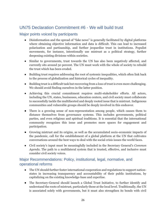## <span id="page-26-0"></span>UN75 Declaration Commitment #6 - We will build trust

### Major points voiced by participants

- Disinformation and the spread of "fake news" is generally facilitated by digital platforms where obtaining objective information and data is difficult. This can lead to increased polarization and partisanship, and further jeopardize trust in institutions. Populist movements, for instance, intentionally use mistrust as a political strategy, further deepening existing divisions within societies.
- Similar to governments, trust towards the UN has also been negatively affected, and currently sits around 50 percent. The UN must work with the whole of society to rebuild the trust which has been eroded.
- Building trust requires addressing the root of systemic inequalities, which often link back to the process of globalization and historical cycles of inequality.
- Building trust is a difficult task but recovering from a loss of trust is even more challenging. We should avoid finding ourselves in the latter position.
- Achieving this crucial commitment requires multi-stakeholder efforts. All actors, including the UN, states, businesses, education centers, and civil society must collaborate to successfully tackle the multifaceted and deeply rooted issue that is mistrust. Indigenous communities and vulnerable groups should be deeply involved in this endeavor.
- There is a growing sense of non-representation among people, which causes them to distance themselves from governance systems. This includes governments, political parties, and even religious and spiritual traditions. It is essential that the international community recognizes this issue and promotes more spaces for engagement and participation.
- Growing mistrust and its origins, as well as the accumulated socio-economic impacts of the pandemic, call for the establishment of a global platform at the UN that cultivates conversations around the best ways to deal with the social crisis issues the world faces.
- Civil society's input must be meaningfully included in the Secretary General's *Common Agenda*. The path to a multilateral system that is trusted, effective, and inclusive must consider civil society voices.

### Major Recommendations: Policy, institutional, legal, normative, and operational reforms

- The UN should further foster international cooperation and regulations to support nationstates in increasing transparency and accountability of their public institutions, by capitalizing on the existing knowledge-base and expertise.
- The Secretary-General should launch a Global Trust Initiative, to further identify and understand the roots of mistrust, particularly those at the local level. Traditionally, the UN is associated solely with governments, but it must also strengthen its bonds with civil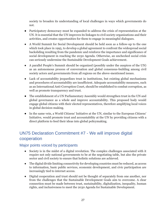society to broaden its understanding of local challenges in ways which governments do not.

- Participatory democracy must be expanded to address the crisis of representation at the UN. It is essential that the UN improves its linkages to civil society organizations and their activities, and creates opportunities for them to engage in meaningful dialogues.
- A World Summit for Social Development should be held soon as a follow-up to the one which took place in 1995, to develop a global agreement to confront the widespread social backsliding resulting from the pandemic and reinforce the importance and significance of social development in reaching the 2030 Agenda. Otherwise, an unchecked social crisis can seriously undermine the Sustainable Development Goals achievement.
- A parallel People's Summit should be organized (possibly under the auspices of the UN) as an autonomous process of conversation and global consensus-building among civil society actors and governments from all regions on the above-mentioned issues.
- Lack of accountability jeopardizes trust in institutions, but existing global mechanisms and procedures of accountability are insufficient. Adequate accountability measures, such as an International Anti-Corruption Court, should be established to combat corruption, as well as promote transparency and trust.
- The establishment of a UN Parliamentary Assembly would strengthen trust in the UN and global governance as a whole and improve accountability. This proposed body would engage global citizens with their elected representatives, therefore amplifying local voices in global decision-making.
- In the same vein, a World Citizens' Initiative at the UN, similar to the European Citizens' Initiative, would promote trust and accountability at the UN by providing citizens with a direct platform to feed their ideas into global policymaking.

# <span id="page-27-0"></span>UN75 Declaration Commitment #7 - We will improve digital cooperation

- Society is in the midst of a digital revolution. The complex challenges associated with it require not only national governments to be at the negotiating table, but also the private sector and civil society to ensure that holistic solutions are achieved.
- The digital divide limiting connectivity for developing countries must be reduced, as access to information, basic public services, economic development, and civic participation are increasingly tied to internet access.
- Digital cooperation and trust should not be thought of separately from one another, nor from the challenges that the Sustainable Development Goals aim to overcome. A clear connection must be made between trust, sustainability, digitalization, inequality, human rights, and inclusiveness to meet the 2030 Agenda for Sustainable Development.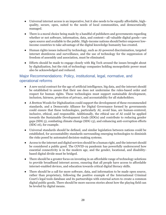- Universal internet access is an imperative, but it also needs to be equally affordable, highquality, secure, open, suited to the needs of local communities, and democratically managed.
- There is a moral choice being made by a handful of publishers and governments regarding whether or not software, information, data, and content—all valuable digital goods—are open source and available to the public. High-income nations should better empower lowincome countries to take advantage of the digital knowledge humanity has created.
- Human rights issues induced by technology, such as AI-powered discrimination, targeted internet shutdowns and surveillance, and the use of technology for the suppression of freedom of assembly and association, must be eliminated.
- Efforts should be made to engage closely with Big Tech around the issues brought about by digitalization, but the risk of technology companies holding monopolistic power must also be acknowledged and reduced.

### Major Recommendations: Policy, institutional, legal, normative, and operational reforms

- A new social contract for the age of artificial intelligence, big data, and the internet should be established to assure that their use does not undermine the rules-based order and respect for human rights. These technologies must support sustainable development, inclusion, fairness, protection of privacy, and accountability for all stakeholders.
- A Bretton Woods for Digitalization could support the development of these recommended standards, and a Democratic Alliance for Digital Governance formed by governments could ensure that these technologies, particularly AI, avoid bias, are human-centered, inclusive, ethical, and responsible. Additionally, the ethical use of AI could be applied towards the Sustainable Development Goals (SDGs) and contribute to reducing gender gaps (SDG 5), combating climate change (SDG 13), and enhancing anti-corruption efforts (SDG 16), for example.
- Universal standards should be defined, and similar legislation between nations could be established, for accountability standards surrounding emerging technologies to diminish the risks posed by automated decision-making systems.
- Access to the internet and digital services should be a human right, and the internet should be considered a public good. The COVID-19 pandemic has powerfully underscored how essential connectivity is in the modern age, and the gender, locational, and disabilitybased digital divide must be bridged.
- There should be a greater focus on investing in an affordable range of technology solutions to provide broadband internet access, ensuring that all people have access to affordable internet-enabled devices, and education towards critical digital literacy skills.
- There should be a call for more software, data, and information to be made open source, rather than proprietary, following the positive example of the International Criminal Court's legal tools database and its partnerships with external actors to create a common digital public goods. There should be more success stories about how the playing field can be leveled by digital means.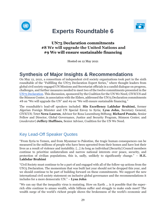<span id="page-29-0"></span>



# **Experts Roundtable 6**

### **UN75 Declaration commitments #8 We will upgrade the United Nations and #9 We will ensure sustainable financing**

Hosted on 12 May 2021

# **Synthesis of Major Insights & Recommendations**

On May 12, 2021, a consortium of independent civil society organizations took part in the sixth roundtable of the "Fulfilling the UN75 Declaration Expert Series," where thought leaders from global civil society engaged UN Missions and Secretariat officials in a candid dialogue on progress, challenges, and further measures needed to meet two of the twelve commitments presented in th[e](https://undocs.org/en/A/RES/75/1) [UN75 Declaration.](https://undocs.org/en/A/RES/75/1) This discussion, sponsored by the Coalition for the UN We Need, CIVICUS and the Stimson Center, in association with the Elders, addressed the UN75 Declaration commitments #8 on "We will upgrade the UN" and #9 on "We will ensure sustainable financing."

The roundtable's lead-off speakers included: **His Excellency Lakhdar Brahimi,** former Algerian Foreign Minister and UN Special Envoy to Syria; **Lysa John,** Secretary General, CIVICUS; Tetet **Nera-Lauron**, Advisor for Rosa Luxemburg Stiftung; **Richard Ponzio**, Senior Fellow and Director, Global Governance, Justice and Security Program, Stimson Center; and (*moderator*) **Jeffery Huffines,** Senior Advisor, Coalition for the UN We Need.

## Key Lead-Off Speaker Quotes

"From Syria to Yemen, and from Myanmar to Palestine, the tragic human consequences can be measured in the millions of people who have been uprooted from their homes and have lost their lives as a result of violence and instability. […] As long as individual [Security] Council members continue to prioritize unilateralism and narrow national interests over peace, security, and protection of civilian populations, this is, sadly, unlikely to significantly change." – **H.E. Lakhdar Brahimi**

"Civil Society must continue to be a part of and engaged with all of the follow-up actions from the UN75 Declaration. The momentum that was built last year should not be dropped this year, and we should continue to be part of building forward on these commitments. We support the new international civil society statement on inclusive global governance and the recommendations it includes for a more democratic UN." – **Lysa John**

"We can say that the inequality virus is mutating. How on Earth ... is it possible that the superrich elite continue to amass wealth, while billions suffer and struggle to make ends meet? The wealth surge of the world's richest people shows the brokenness of the world's economic and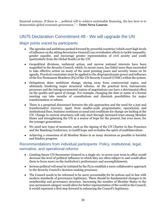financial systems. If there is ... political will to achieve sustainable financing, the key here is to democratize global economic governance." – **Tetet Nera-Lauron**

### <span id="page-30-0"></span>UN75 Declaration Commitment #8 - We will upgrade the UN

### Major points voiced by participants

- The agendas and ambitions pushed forward by powerful countries (which exert high levels of influence on the sitting Secretaries-General) can overshadow efforts to tackle inequality, gender equality, and encourage greater representation of civil society and youth (particularly from the Global South) at the UN.
- Geopolitical divisions, unilateral action, and narrow national interests have been magnified in the Security Council, which, in recent years, has failed more than succeeded to take effective action on many of the most pressing peace and security issues on its agenda. Practical constraints must be applied to the disproportionate power and influence of the five Permanent Members (P5) of the UN Security Council (UNSC) within the system.
- Delegations deter ambitious change, shying away from controversial topics, and ultimately hindering major structural reforms. At the practical level, bureaucratic processes and the intergovernmental nature of negotiations can have a detrimental effect on the quality and speed of change. For example, changing the date or name of a formal meeting can take months of consultations and diminish possibilities for major transformation or reform.
- There is a perpetual disconnect between the silo approaches and the need for a just and transformative recovery. Apart from smaller-scale programmatic, operational, and institutional fixes, business continues as usual and conditions for change are lacking at the UN. Change to current structures will only start through increased trust among Member States and strengthening the UN as a source of hope for the present, but even more, for the younger generations.
- We need new types of moments, such as the signing of the UN Charter in San Francisco and the Bandung Conference, to instill hope and revitalize the spirit of multilateralism.
- Achieving a consensus of all Member States in as many decisions as possible is harmful and hinders progress.

- Limiting future UN Secretaries-General to a single six- to seven-year term in office would decrease the level of political influence to which they are often subject to and would allow them to focus more on the institution's performance and accomplishments.
- $\bullet$  Serious political will must be initiated by the P<sub>5</sub> to establish a more collaborative approach to the Security Council's decision-making processes.
- The Council needs to be reformed to be more accountable for its actions and in line with modern standards of governance legitimacy. There should be fundamental changes to its membership and governance structure. Increasing the number of Member States in the non-permanent category would allow for better representation of the world in the Council; it would represent a first step forward in enhancing the Council's legitimacy.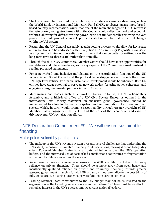- The UNSC could be organized in a similar way to existing governance structures, such as the World Bank or International Monetary Fund (IMF), to always ensure more broadbased country representation. Given that one of the main challenges to UNSC reform is the veto power, voting structures within the Council could reflect political and economic realities, allowing for different voting power levels but fundamentally removing the veto power. This would promote equitable power distribution and facilitate structural changes within the UN system.
- Revamping the UN General Assembly agenda-setting process would allow for key issues and resolutions to be addressed without repetition. An *Interest of Preposition* can serve as a system for trying out potential agenda items that can be better prioritized over the long-term (two-to-three years) rather than annually.
- Through the six UNGA Committees, Member States should have more opportunities for real debates and interactive dialogues on key aspects of the Committees' work, instead of reading prepared statements.
- For a networked and inclusive multilateralism, the coordination function of the UN Economic and Social Council and the political leadership generated through the annual UN High-level Political Forum on Sustainable Development should be enhanced. Both UN entities have great potential to serve as network nodes, fostering policy coherence, and engaging non-governmental partners in the UN's work.
- Mechanisms and bodies such as a World Citizens' Initiative, a UN Parliamentary Assembly, and a high-level office of a UN Civil Society Envoy, as outlined in the international civil society statement on inclusive global governance, should be implemented to allow for better participation and representation of citizens and civil society, which, in turn, would promote accountability through greater oversight of UN Member States' engagement at the UN and the work of the Secretariat, and assist in driving overall UN revitalization efforts.

# <span id="page-31-0"></span>UN75 Declaration Commitment #9 - We will ensure sustainable financing

- The makeup of the UN's revenue system presents several challenges that undermine the UN's ability to ensure sustainable financing for its operations, making it prone to liquidity crises. Powerful Member States have an outsized influence over the UN's operating budget, and the increased use of earmarked contributions contributes to fragmentation and accountability issues across the system.
- Recent events have also shown weaknesses in the WHO's ability to act due to its heavy reliance on private financing. There should be a move away from such heavy and insufficiently qualified reliance on private and voluntary financing towards greater assessed government financing for vital UN organs, without prejudice to the possibility of fully transparent, no-strings-attached private funding in certain contexts.
- Leading Member State contributors to the UN budget may not be as invested in the organization as the founding generation was in the mid-1940s. There must be an effort to revitalize interest in the UN's success among current national leaders.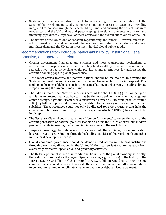- Sustainable financing is also integral to accelerating the implementation of the Sustainable Development Goals, supporting equitable access to vaccines, providing integrated responses through the Peacebuilding Fund, and ensuring the critical resources needed to fund the UN budget and peacekeeping. Shortfalls, payments in arrears, and financing gaps directly impede all of these efforts and the overall effectiveness of the UN.
- The nature of the UN is one of constant repositioning and reform. However, successful reforms must be financed, and in order to do so, we should shift the paradigm and look at multilateralism and the UN as an investment in vital global public goods.

- Greater government financing, and stronger and more transparent mechanisms to redirect and repurpose excessive and privately held wealth (in line with economic and redistributive justice principles) could provide sound alternatives for addressing the current financing gaps in global governance.
- Debt relief efforts towards the poorest nations should be maintained to advance the Sustainable Development Goals and to provide much-needed humanitarian support. This could take the form of debt suspension, debt cancellation, or debt swaps, including climate swaps involving the Green Climate Fund.
- The IMF estimates that "brown" subsidies account for about U.S. \$5.3 trillion per year, and it has expressed that a carbon tax may be the most efficient way to mitigate against climate change. A gradual rise in such a tax between now and 2030 could produce around U.S. \$1.5 trillion of potential resources, in addition to the money now spent on fossil fuel subsidies. These resources could not only be directed towards programs that help the environment but toward improving the health systems which COVID-19 has shown to be in disrepair.
- The Secretary-General could create a new "founder's moment," to renew the vows of the current generation of national political leaders to utilize the UN to address our modern problems, while increasing their countries' investments in the world body.
- Despite increasing global debt levels in 2020, we should think of imaginative proposals to leverage private sector funding through the lending activities of the World Bank and other multilateral development banks.
- Global economic governance should be democratized across multilateral institutions through clear policy directives by the United Nations to reorient economies away from excessively extractive, speculative, and predatory activities.
- The IMF is a potential source of unconditional liquidity for the global economy. Currently, there stands a proposal for the largest Special Drawing Rights (SDRs) in the history of the IMF at U.S. \$650 billion. Of this, around U.S. \$450 billion would go to high-income countries, which could be asked to allocate their shares to low- and middle-income states to be used, for example, for climate change mitigation or debt services repayment.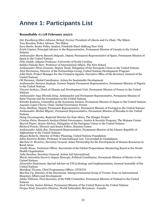# <span id="page-33-0"></span>**Annex 1: Participants List**

#### **Roundtable #1 (18 February 2021):**

*Her Excellency Ellen Johnson Sirleaf, Former* President of Liberia and Co-Chair, The Elders *Tom Brookes*, Policy Advisor, The Elders *Sara Burke*, Senior Policy Analyst, Friedrich-Ebert-Stiftung New York *Erich Cripton*, Principal Advisor to the Representative, Permanent Mission of Canada to the United Nations *Ambassador María Bassols Delgado,* Deputy Permanent Representative of Spain, Permanent Mission of Spain to the United Nations *Felix Dodds*, Adjunct Professor, University of North Carolina *Sakiko Fukuda-Parr*, Professor of International Affairs, The New School *Ambassador Silvio Gonzato,* Deputy Head, Delegation of the European Union to the United Nations *Nick Hartmann*, Director of the Partnerships Group, United Nations Development Program *Aditi Haté*, Project Manager for Our Common Agenda, Executive Office of the Secretary-General of the United Nations *Oli Henman*, Global Coordinator, Action for Sustainable Development *Ambassador Samson Itegboje,* Former Deputy Permanent Representative, Permanent Mission of Nigeria to the United Nations *Vincent Jechoux*, Head of Climate and Development Unit, Permanent Mission of France to the United Nations *Ambassador Inga Rhonda King*, Ambassador and Permanent Representative, Permanent Mission of Saint Vincent and the Grenadines to the United Nations *Keisuke Kodama*, Counsellor at the Economic Section, Permanent Mission of Japan to the United Nations *Augusto Lopez-Claros*, Chair, Global Governance Forum *Nuno Mathias*, Deputy Permanent Representative, Permanent Mission of Portugal to the United Nations *Ambassador Michal Mlynár*, Permanent Representative, Permanent Mission of Slovakia to the United Nations *Daisy Owomugasho*, Regional Director for East Africa, The Hunger Project *Cristina Petcu*, Research Analyst,Global Governance, Justice & Security Program, The Stimson Center *Marcel Pieper*, Senior Advisor, Delegation of the European Union to the United Nations *Richard Ponzio*, Director and Senior Fellow, Stimson Center *Ambassador Adela Raz*, Permanent Representative, Permanent Mission of the Islamic Republic of Afghanistan to the United Nations *Megan Roberts*, Director of Policy Planning, United Nations Foundation *Edna Ramirez Robles*, Professor of International Law, Unversidad de Guadalajara *Marlene D. Ramirez,* Secretary General, Asian Partnership for the Development of Human Resources in Rural Areas *Amélie Rioux*, Technical Officer, Secretariat of the Global Preparedness Monitoring Board at the World Health Organization *Julia Sanchez*, Secretary General, Action Aid International *María Antonieta Socorro Jáquez Huacuja*, Political Coordinator, Permanent Mission of Mexico to the United Nations *Alexandre Stutzmann*, Special Adviser on UN75 Strategy and Implementation, General Assembly of the United Nations *Mandeep Tiwana*, Chief Programmes Officer, CIVICUS *Marilou Uy*, Director of the Secretariat, Intergovernmental Group of Twenty-Four on International Monetary Affairs and Development *Jukka Välimaa*, First Secretary of the Fifth Committee, Permanent Mission of Finland to the United Nations *Zach Vertin*, Senior Advisor, Permanent Mission of the United States to the United Nations *Fergus Watt*, Executive Director, World Federalists Movement—Canada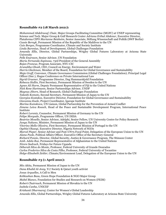#### **Roundtable #2 (18 March 2021):**

*Mohammed Abdelraouf*, Chair, Major Groups Facilitating Committee (MGFC) at UNEP representing Science and Tech. Major Group & Gulf Research Center *Adriana Erthal Abdenur*, Executive Director, Plataforma CIPÓ *Marianne Beisheim*, Senior Associate, Stiftung Wissenschaft und Politik (SWP Berlin) *Cassie Bernyk*, Permanent Mission of the Republic of the Maldives to the UN *Caio Borges*, Programme Coordinator, Climate and Society Institute *Linda Burenius*, Head of Development, Global Challenges Foundation *Amanda Ellis*, Director, Global Partnerships, Wrigley Global Futures Laboratory at Arizona State University *Pelle Enarsson*, Senior Advisor, UN Foundation *Maria Fernanda Espinosa*, 73rd President of the General Assembly *Bojan Francuz*, Program Associate, NYU-CIC *Arunabha Ghosh*, CEO, Council on Energy, Environment and Water *Harris Gleckman*, Member of the Board, Foundation for Global Governance and Sustainability *Maja Groff*, Convenor, Climate Governance Commission (Global Challenges Foundation); Principal Legal Officer (fmr.), Hague Conference on Private International Law *Sigrid Gruener,* Programme Director, Dag Hammarskjold Foundation *Rebecca Hallin*, First Secretary, Permanent Mission of Sweden to the UN *Agnes Ali Harm*, Deputy Permanent Representative of Fiji to the United Nations *Nick Rene Hartmann*, Senior Partnerships Advisor, UNDP *Magnus Jiborn*, Head of Research, Global Challenges Foundation *Takeshi Komoto*, Second Secretary, Permanent Mission of Japan to the UN *Georgios Kostakos*, Executive Director, Foundation for Global Governance and Sustainability *Giovanna Kuele*, Project Coordinator, Igarape Institute *Marina Kumskova*, UN Liaison, Global Partnership for the Prevention of Armed Conflict *Jimena Leiva Roesch*, Head of the Peace and Sustainable Development Program, International Peace Institute *Robert Lorentz*, Counselor, Permanent Mission of Germany to the UN *Felipe Morgado*, Programme Officer, UN DESA *Beatrice Mosello*, Senior Advisor, Adelphi, Senior Fellow, UN University Centre for Policy Research *Junya Nakano*, Minister, Permanent Mission of Japan to the UN *Vitorino Mello Oliveira*, First Secretary, Permanent Mission of Portugal to the UN *Oyebisi Oluseyi*, Executive Director, Nigeria Network of NGOs *Marcel Pieper*, Senior Adviser and Post-UN75 Focal Point, Delegation of the European Union to the UN *Alana Poole*, Political Affairs Officer, Executive Office of the Secretary-General *Richard Ponzio*, Director, Global Security, Justice & Governance Program, The Stimson Center *Amb. Adela Raz*, Permanent Representative of Afghanistan to the United Nations *Nirere Sadrach*, Fridays for Future Uganda *Déborah Silva do Monte*, Professor, Federal University of Grande Dourados *Carlos Frederico Silva da Costa Filho*, Professor, Federal University of Tocantins *Helge-Elisabeth Zeitler*, Climate/Environment Lead, Delegation of the European Union to the UN **Roundtable #3 (1 April 2021):** 

*Mio Akita,* Permanent Mission of Japan to the UN *Dana Khalid Al-Anzy*, Y17 Society & Qatari youth activist *Josue Arguelles*, A Call to Men *Kehkashan Basu,* Green Hope Foundation & NGO Major Group *Mabel Bianco*, Foundation for Studies and Research on Women (FEIM) *Robert Chatrnuch*, Permanent Mission of Slovakia to the UN *Isabela Cunha*, UNICEF *Krishanti Dharmaraj,* Center for Women's Global Leadership *Amanda Ellis*, Global Partnerships, Wrigley Global Futures Laboratory at Arizona State University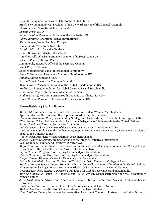*Safae El-Yaaqoubi*, Embassy of Qatar to the United States *Maria Fernanda Espinosa*, President of the UN 73rd Session of the General Assembly *Sharon Fisher*, Soroptimist International *Susana Fried*, CREA *Rebecca Hallin*, Permanent Mission of Sweden to the UN *Carlos Infante*, Generation Change International *Xenia Kellner*, Young Feminist Europe *Giovanna Kuele*, Igarape Institute *Dragica Mikavica,* Save the Children *Sahar Moazami*, Outright International *Vitorino Mello Oliveira*, Permanent Mission of Portugal to the UN *Richard Ponzio*, Stimson Center *Alana Poole*, Executive Office of the Secretary-General *Vivek Rai*, UN Women *Saphira Rameshfar*, Baha'i International Community *Alma E. Santa Ana*, Permanent Mission of Mexico to the UN *Anjum Sultana*, Canada YWCA *Azzam Tomeh*, Search for Common Ground *Megan White,* Permanent Mission of the United Kingdom to the UN *Yoriko Yasukawa*, Foundation for Global Governance and Sustainability *Soon-Young Yoon*, International Alliance of Women *Nudhara Yusuf*, WFUNA, Former Youth Dialogue Coordinator for UN75 *Daniel Zavala*, Permanent Mission of Costa Rica to the UN

### **Roundtable #4 (15 April 2021):**

*Mavic Cabrera Balleza*, Founder and CEO, Global Network of Women Peacebuilders *Agustina Briano*, Outreach and Development Coordinator, Club de Madrid *Henk-Jan Brinkman*, Chief, Peacebuilding Strategy and Partnerships, UN Peacebuilding Support Office *Hillel Joseph Cohen*, Political Advisor, Permanent Delegation of Liechtenstein to the United Nations *Sapna Considine*, Director, Strategy for Humanity *Luis Consuegra*, Strategic Partnerships and Outreach Advisor, International IDEA *Amb. María Bassols Delgado*, Ambassador, Deputy Permanent Representative, Permanent Mission of Spain to the United Nations *Walter Dorn*, President, World Federalist Movement Canada *Justice Richard Goldstone*, Member of the Board, Integrity Initiatives International Vasu Gounden, Founder and Executive Director, ACCORD *Maja Groff*, Convenor, Climate Governance Commission (Global Challenges Foundation); Principal Legal Officer (fmr.), Hague Conference on Private International Law *Sigrid Gruener*, Program Director, Dag Hammarskjöld Foundation *Henrik Hammargren*, Executive Director, Dag Hammarskjöld Foundation *Idayat Hassan*, Director, Centre for Democracy and Development *Faisal M. Al-Hababi*, Assistant Professor of Public Law, Qatar University College of Law *María Antonieta Socorro Jáquez Huacuja*, Minister Counsellor, Mission of Mexico to the United Nations *Hawanatu Kebbe*, Legal Expert, Permanent Mission of Sierra Leone to the United Nations *Georgios Kostakos*, Executive Director, Foundation for Global Governance and Sustainability *Marina Kumskova*, Senior UN Advocacy and Policy Advisor, Global Partnership for the Prevention of Armed Conflict *Joris Larik*, Senior Advisor and Nonresident Fellow, Stimson Center and Assistant Professor, Leiden University *Guillemot Le Bourhis,* Executive Office of the Secretary-General, United Nations *Michael Liu*, Executive-Director, Chinese International Law Initiative *Nuno Mathias*, Deputy Permanent Representative, Permanent Mission of Portugal to the United Nations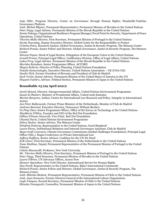*Anja Mihr*, Program Director, Center on Governance through Human Rights; Humboldt-Viadrina Governance Platform

*Amb. Michal Mlynar*, Permanent Representative, Permanent Mission of Slovakia to the United Nations *Peter Nagy*, Legal Adviser, Permanent Mission of the Slovak Republic to the United Nations *Sumie Nakaya*, Organizational Resilience Program Manager/Focal Point for Security, Department of Peace Operations, United Nations

*Vitorino Mello Oliveira*, First Secretary, Permanent Mission of Portugal to the United Nations *Savita Pawnday*, Deputy Executive Director, Global Centre for the Responsibility to Protect *Cristina Petcu*, Research Analyst, Global Governance, Justice & Security Program, The Stimson Center *Richard Ponzio*, Senior Fellow and Director, Global Governance, Justice & Security Program, The Stimson **Center** 

*Simona Popan*, Head of Legal Section, Delegation of the European Union to the United Nations *Arnold Pronto*, Principal Legal Officer, Codification Division, Office of Legal Affairs, United Nations *Lukas Prvy*, Legal Adviser, Permanent Mission of the Slovak Republic to the United Nations *Marisha Ramdeen*, Senior Programme Officer, ACCORD

*Megan Roberts*, Director of Policy Planning, United Nations Foundation

*Natalie Samarasinghe*, Executive Director, United Nations Association – UK (UNA-UK)

*Danilo Türk*, Former President of Slovenia and President of Club de Madrid

*Zach Vertin*, Senior Advisor, Permanent Mission of the United States of America to the UN *Hoyumi Yashiro*, Advisor, Political Section, Permanent Mission of Japan to the United Nations

### **Roundtable #5 (29 April 2021):**

*Jamil Ahmad,* Director, Intergovernmental Affairs, United Nations Environment Programme *Saeed Al Dhaheri,* Ministry of Presidential Affairs, United Arab Emirates *Morten Bergsmo,* Author, Centre for International Law Research and Policy, Integrity in International **Justice** *Jan Peter Balkenende,* Former Prime Minister of the Netherlands, Member of Club de Madrid *Andreas Bummel,* Executive Director, Democracy Without Borders *Yu Ping Chan,* Senior Programme Officer, Office of the Envoy on Technology at the United Nations *ElsaMarie D'Silva,* Founder and CEO of the Red Dot Foundation *Gillian D'Souza Nazareth,* Vice-Chair, Red Dot Foundation *Chantal Davis,* United Nations Environment Programme *Debra Decker,* Senior Advisor, The Stimson Center *Winifred Doherty,* Representative to the United Nations, Good Shepherd *Laura Flores,* Institutional Relations and Internal Governance Assistant, Club de Madrid *Maja Groff,* Convenor, Climate Governance Commission (Global Challenges Foundation); Principal Legal Officer (fmr.), Hague Conference on Private International Law *Jeffery Huffines,* Senior Advisor, Coalition for the UN We Need *Erik Litver,* First Secretary, Permanent Mission of the Netherlands to the United Nations *Nuno Mathias,* Deputy Permanent Representative of the Permanent Mission of Portugal to the United Nations *Colette Mazzucelli,* Professor, New York University *Mr. Vitorino Mello Oliveira,* First Secretary, Permanent Mission of Portugal to the United Nations *Peter Nagy,* Third Secretary, Permanent Mission of Slovakia to the United Nations *Laura O'Brien,* UN Advocacy Officer**,** Access Now *Eleanor Openshaw,* New York Director, International Service for Human Rights *Dan Perell,* Representative to the United Nations, Baha'i International Community *Richard Ponzio,* Senior Fellow and Director, Global Governance, Justice & Security Program, The Stimson Center *Amb. Milenko Skoknic,* Permanent Representative, Permanent Mission of Chile to the United Nations *Amb. Juan Somavia,* Former Director-General of the International Labour Organization *Leyla Vásquez,* Second Secretary**,** Permanent Mission of Chile to the United Nations

*Shinobu Yamaguchi,* Counsellor, Permanent Mission of Japan to the United Nations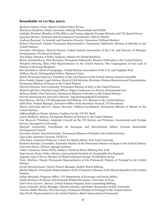#### **Roundtable #6 (12 May 2021):**

*Barbara Adams*, Chair, Board of Global Policy Forum *Marianne Beisheim*, Senior Associate, Stiftung Wissenschaft und Politik *Lakhdar Brahimi*, Member of The Elders and Former Algerian Foreign Minister and UN Special Envoy *Agustina Briano*, Outreach and Development Coordinator, Club de Madrid *Andreas Bummel*, Co-founder and Executive Director, Democracy Without Borders *Robert Chatrnuch*, Deputy Permanent Representative, Permanent Diplomatic Mission of Slovakia to the United Nations *Dorothea Christiana*, Elected-Trustee, United Nations Association of the U.K. and Director of Strategic Development, UN House Scotland *Tad Daley*, Director of Policy Analysis, Citizens for Global Solutions *Maria Danielcakova*, First Secretary, Permanent Diplomatic Mission of Slovakia to the United Nations *Winifred Doherty*, Main NGO Representative to the United Nations, The Congregation of Our Lady of Charity of the Good Shepherd *Ben Donaldson*, Head of Campaigns, United Nations Association of the U.K. and Together First *William Durch,* Distinguished Fellow, Stimson Center *Maria Fernanda Espinosa*, President of the 73rd Session of the United Nations General Assembly *Brice Fodda,* Deputy Legal Advisor, Head of Unit Reforms, Elections, Human Resources and Francophonie, Permanent Mission of France to the United Nations *Niccolo Fontana*, First Counselor, Permanent Mission of Italy to the United Nations *Maja Groff*, Fmr. Principal Legal Officer, Hague Conference on Private International Law *Rebecca Hallin*, First Secretary, Permanent Mission of Sweden to the United Nations *Henrik Hammargren*, Executive Director, Dag Hammarskjold Foundation *Paul Hanna*, Adviser, UN Management and Reform, U.S. Mission to the United Nations *Aditi Hate*, Project Manager, Executive-Office of the Secretary-General, UN Secretariat *María Antonieta Socorro Jáquez Huacuja*, Political Coordinator, Permanent Mission of Mexico to the United Nations *Jeffery Huffines*, Senior Advisor, Coalition for the UN We Need *Laura Holbach*, Adviser, Permanent Mission of Norway to the United Nations *Lise Howard*, President, Academic Council on the UN System and Professor, Government and Foreign Service, Georgetown University *Hannah Janetschek,* Coordinator for European and International Affairs, German Sustainable Development Council *Karolina Janiak*, Second Secretary, Permanent Mission of Poland to the United Nations *Lysa John*, Secretary General, CIVICUS *John Kane*, Assistant Professor, Center for Global Affairs, New York University *Kodama Keisuke*, Counsellor, Economic Section of the Permanent Mission of Japan to the United Nations *Giovanna Kuele,* Advisor, Igarapé Institute *Volker Lehmann*, Senior Policy Analyst, Friedrich-Ebert-Stiftung New York *Faye Leone*, Senior Policy Advisor, International Institute for Sustainable Development *Augusto Lopez-Claros,* Director of Global Indicators Group, World Bank Group *Nuno Mathias*, Deputy Permanent Representative of the Permanent Mission of Portugal to the United Nations *Sarah Meschenmoser*, Senior Project Manager, Robert Bosch Stiftung *Michal Mlynár*, Permanent Representative of the Permanent Mission of the Slovak Republic to the United Nations *Felipe Morgado*, Program Officer, UN Department of Economic and Social Affairs *Guido Montani*, Professor, International Political Economy, University of Pavia *Tetet Nera-Lauron*, Advisor, United Nations Program, Rosa Luxemburg Stiftung *Kazuo Noguchi*, Senior Manager, Hitachi America, and Senior Researcher at Keio University *Vitorino Mello Oliveira*, First Secretary, Permanent Mission of Portugal to the United Nations *Dan Perell*, Representative to the United Nations, Baha'i International Community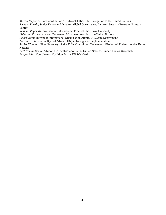*Marcel Pieper*, Senior Coordination & Outreach Officer, EU Delegation to the United Nations *Richard Ponzio,* Senior Fellow and Director, Global Governance, Justice & Security Program, Stimson Center

*Vesselin Popovski*, Professor of International Peace Studies, Soka University

*Valentina Rainer*, Adviser, Permanent Mission of Austria to the United Nations

*Laurel Rapp*, Bureau of International Organization Affairs, U.S. State Department

*Alexandre Stutzmann*, Special Adviser, UN75 Strategy and Implementation

*Jukka Välimaa,* First Secretary of the Fifth Committee, Permanent Mission of Finland to the United Nations

*Zach Vertin*, Senior Advisor, U.S. Ambassador to the United Nations, Linda Thomas-Greenfield *Fergus Watt*, Coordinator, Coalition for the UN We Need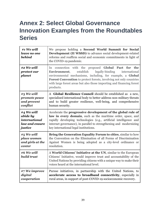# <span id="page-39-0"></span>**Annex 2: Select Global Governance Innovation Examples from the Roundtables Series**

| #1 We will<br>leave no one<br><b>behind</b> | We propose holding a Second World Summit for Social<br>Development (II WSSD) to advance social development-related<br>reforms and reaffirm social and economic commitments in light of<br>the COVID-19 pandemic.                                                                                                                                      |
|---------------------------------------------|-------------------------------------------------------------------------------------------------------------------------------------------------------------------------------------------------------------------------------------------------------------------------------------------------------------------------------------------------------|
| #2 We will<br>protect our<br>planet         | In connection with the proposed Global Pact for the<br>legally-binding<br>establish<br>Environment,<br>international<br>environmental mechanisms, including, for example, a Global<br><b>Forest Convention</b> to protect forests, involving not only countries<br>with large forest areas but also those importing and financing forest<br>products. |
| #3 We will                                  | A Global Resilience Council should be established as a new,                                                                                                                                                                                                                                                                                           |
| promote peace                               | specialized international body to better address non-military threats                                                                                                                                                                                                                                                                                 |
| and prevent                                 | and to build greater resilience, well-being, and comprehensive                                                                                                                                                                                                                                                                                        |
| conflict                                    | human security.                                                                                                                                                                                                                                                                                                                                       |
| #4 We will                                  | Accelerate the progressive development of the global rule of                                                                                                                                                                                                                                                                                          |
| abide by                                    | law in every domain, such as the maritime order, space, and                                                                                                                                                                                                                                                                                           |
| international                               | rapidly developing technologies (e.g., artificial intelligence and                                                                                                                                                                                                                                                                                    |
| law and ensure                              | internet governance), in parallel to strengthening and modernizing                                                                                                                                                                                                                                                                                    |
| justice                                     | key international legal institutions.                                                                                                                                                                                                                                                                                                                 |
| #5 We will                                  | Bring the Generation Equality Forum to cities, similar to how                                                                                                                                                                                                                                                                                         |
| place women                                 | the Convention on the Elimination of all Forms of Discrimination                                                                                                                                                                                                                                                                                      |
| and girls at the                            | Against Women is being adopted as a city-level ordinance or                                                                                                                                                                                                                                                                                           |
| center                                      | resolution.                                                                                                                                                                                                                                                                                                                                           |
| #6 We will<br><b>build trust</b>            | A World Citizens' Initiative at the UN, similar to the European<br>Citizens' Initiative, would improve trust and accountability of the<br>United Nations by providing citizens with a unique way to make their<br>voices heard at the international level.                                                                                            |
| #7 We improve                               | Pursue initiatives, in partnership with the United Nations, to                                                                                                                                                                                                                                                                                        |
| digital                                     | accelerate access to broadband connectivity, especially in                                                                                                                                                                                                                                                                                            |
| cooperation                                 | rural areas, in support of post-COVID-19 socioeconomic recovery.                                                                                                                                                                                                                                                                                      |